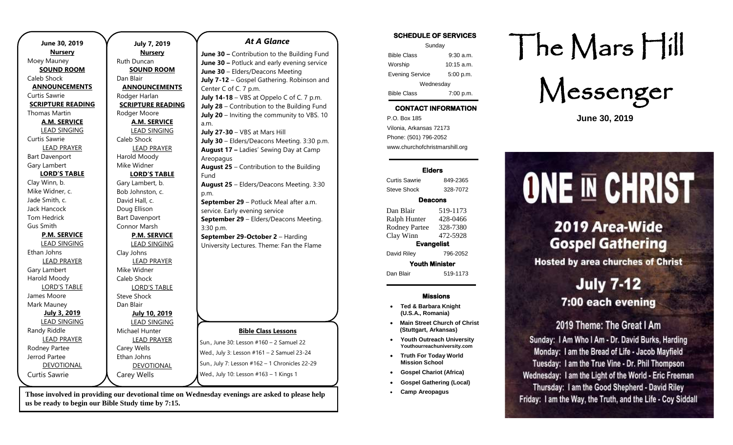| June 30, 2019                                 |
|-----------------------------------------------|
|                                               |
| Ruth I<br><b>SOUND ROOM</b>                   |
| S<br>Dan B                                    |
| <b>ANNOUNCEMENTS</b>                          |
| <b>AN</b>                                     |
| Rodg <sub>®</sub><br><b>SCRIPTURE READING</b> |
| <b>SCRI</b>                                   |
| Rodg<br><b>A.M. SERVICE</b>                   |
|                                               |
| <b>LEAD SINGING</b>                           |
| Caleb                                         |
| <b>LEAD PRAYER</b>                            |
| Harol                                         |
| Mike <sup>®</sup>                             |
| <b>LORD'S TABLE</b><br>L                      |
| Gary I                                        |
| Bob J                                         |
| David                                         |
| Doug                                          |
| Bart D                                        |
| Conn                                          |
| <b>P.M. SERVICE</b>                           |
| <b>LEAD SINGING</b>                           |
| Clay J                                        |
| <b>LEAD PRAYER</b>                            |
| Mike <sup>®</sup>                             |
| Caleb                                         |
| <b>LORD'S TABLE</b>                           |
| Steve                                         |
| Dan B                                         |
| July 3, 2019                                  |
| <b>LEAD SINGING</b>                           |
| Micha                                         |
| <b>LEAD PRAYER</b>                            |
| Carey                                         |
| Ethan                                         |
| <b>DEVOTIONAL</b>                             |
| Carey                                         |
|                                               |

#### **July 7, 2019 Nursery** Duncan **SOUND ROOM** 3lair **INOUNCEMENTS** er Harlan **IPTURE READING** er Moore **A.M. SERVICE** LEAD SINGING Shock LEAD PRAYER ld Moody Widner **LORD'S TABLE** Lambert, b. Johnston, c. Hall,  $c$ . Ellison Davenport ıor Marsh **P.M. SERVICE** LEAD SINGING Johns LEAD PRAYER Widner Shock LORD'S TABLE Shock **Blair July 10, 2019** LEAD SINGING Michael Hunter LEAD PRAYER Wells Ethan Johns DEVOTIONAL v Wells **Bible Class Lessons** Sun., June 30: Lesson #160 – 2 Samuel 22 Wed., July 3: Lesson #161 – 2 Samuel 23-24 Sun., July 7: Lesson #162 – 1 Chronicles 22-29 Wed., July 10: Lesson #163 – 1 Kings 1 *At A Glance*  **June 30 –** Contribution to the Building Fund **June 30 –** Potluck and early evening service **June 30** – Elders/Deacons Meeting **July 7-12** – Gospel Gathering. Robinson and Center C of C. 7 p.m. **July 14-18** – VBS at Oppelo C of C. 7 p.m. **July 28** – Contribution to the Building Fund **July 20** – Inviting the community to VBS. 10 a.m. **July 27-30** – VBS at Mars Hill **July 30** – Elders/Deacons Meeting. 3:30 p.m. **August 17 –** Ladies' Sewing Day at Camp Areopagus **August 25** – Contribution to the Building Fund **August 25** – Elders/Deacons Meeting. 3:30 p.m. **September 29** – Potluck Meal after a.m. service. Early evening service **September 29** – Elders/Deacons Meeting. 3:30 p.m. **September 29-October 2** – Harding University Lectures. Theme: Fan the Flame

**Those involved in providing our devotional time on Wednesday evenings are asked to please help us be ready to begin our Bible Study time by 7:15.** 

## **SCHEDULE OF SERVICES**

| Sunday                 |              |
|------------------------|--------------|
| <b>Bible Class</b>     | $9:30$ a.m.  |
| Worship                | $10:15$ a.m. |
| <b>Evening Service</b> | 5:00 p.m.    |
| Wednesday              |              |
| <b>Bible Class</b>     | 7:00 p.m.    |

## **CONTACT INFORMATION**

. .o. Box 166<br>Vilonia, Arkansas 72173 P.O. Box 185 Phone: (501) 796-2052 www.churchofchristmarshill.org

#### **Elders**

Curtis Sawrie 849-2365 Steve Shock 328-7072

#### **Deacons**

Dan Blair 519-1173 Ralph Hunter 428-0466 Rodney Partee 328-7380 Clay Winn 472-5928 **Evangelist** 

David Riley 796-2052

**Youth Minister**  Dan Blair 519-1173

### **Missions**

- **Ted & Barbara Knight (U.S.A., Romania)**
- **Main Street Church of Christ (Stuttgart, Arkansas)**
- **Youth Outreach University Youthourreachuniversity.com**
- **Truth For Today World Mission School**
- **Gospel Chariot (Africa)**
- **Gospel Gathering (Local)**
- **Camp Areopagus**

## The Mars Hill

Messenger

**June 30, 2019**

# **ONE IN CHRIST**

## 2019 Area-Wide **Gospel Gathering**

**Hosted by area churches of Christ** 

## **July 7-12** 7:00 each evening

## 2019 Theme: The Great I Am

Sunday: I Am Who I Am - Dr. David Burks, Harding Monday: I am the Bread of Life - Jacob Mayfield Tuesday: I am the True Vine - Dr. Phil Thompson Wednesday: I am the Light of the World - Eric Freeman Thursday: I am the Good Shepherd - David Riley Friday: I am the Way, the Truth, and the Life - Coy Siddall